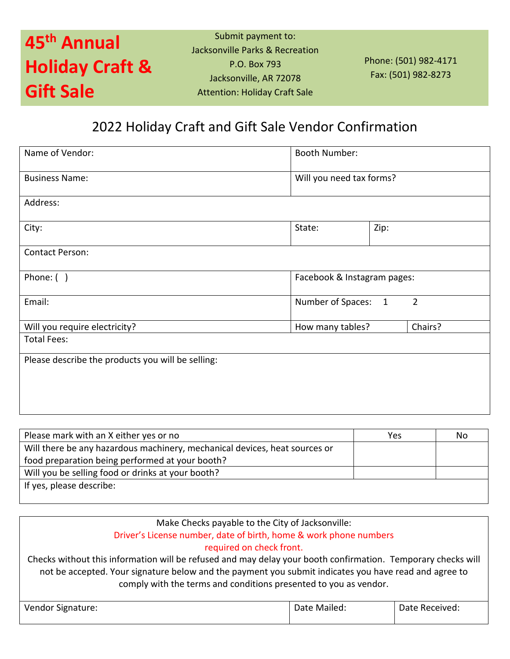## **45 th Annual Holiday Craft & Gift Sale**

Submit payment to: Jacksonville Parks & Recreation P.O. Box 793 Jacksonville, AR 72078 Attention: Holiday Craft Sale

Phone: (501) 982-4171 Fax: (501) 982-8273

### 2022 Holiday Craft and Gift Sale Vendor Confirmation

| Name of Vendor:                                   | <b>Booth Number:</b>                                |      |         |
|---------------------------------------------------|-----------------------------------------------------|------|---------|
| <b>Business Name:</b>                             | Will you need tax forms?                            |      |         |
| Address:                                          |                                                     |      |         |
| City:                                             | State:                                              | Zip: |         |
| <b>Contact Person:</b>                            |                                                     |      |         |
| Phone: $( )$                                      | Facebook & Instagram pages:                         |      |         |
| Email:                                            | $\overline{2}$<br>Number of Spaces:<br>$\mathbf{1}$ |      |         |
| Will you require electricity?                     | How many tables?                                    |      | Chairs? |
| <b>Total Fees:</b>                                |                                                     |      |         |
| Please describe the products you will be selling: |                                                     |      |         |

| Please mark with an X either yes or no                                     | Yes | No |
|----------------------------------------------------------------------------|-----|----|
| Will there be any hazardous machinery, mechanical devices, heat sources or |     |    |
| food preparation being performed at your booth?                            |     |    |
| Will you be selling food or drinks at your booth?                          |     |    |
| If yes, please describe:                                                   |     |    |
|                                                                            |     |    |

### Make Checks payable to the City of Jacksonville: Driver's License number, date of birth, home & work phone numbers

required on check front.

Checks without this information will be refused and may delay your booth confirmation. Temporary checks will not be accepted. Your signature below and the payment you submit indicates you have read and agree to comply with the terms and conditions presented to you as vendor.

| Vendor Signature: | Date Mailed: | Date Received: |
|-------------------|--------------|----------------|
|                   |              |                |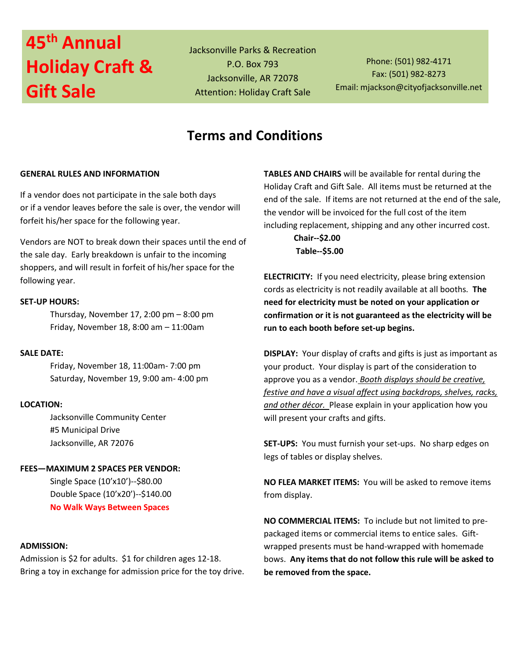# **45 th Annual Holiday Craft & Gift Sale**

Jacksonville Parks & Recreation P.O. Box 793 Jacksonville, AR 72078 Attention: Holiday Craft Sale

Phone: (501) 982-4171 Fax: (501) 982-8273 Email: mjackson@cityofjacksonville.net

### **Terms and Conditions**

#### **GENERAL RULES AND INFORMATION**

If a vendor does not participate in the sale both days or if a vendor leaves before the sale is over, the vendor will forfeit his/her space for the following year.

Vendors are NOT to break down their spaces until the end of the sale day. Early breakdown is unfair to the incoming shoppers, and will result in forfeit of his/her space for the following year.

#### **SET-UP HOURS:**

Thursday, November 17, 2:00 pm – 8:00 pm Friday, November 18, 8:00 am – 11:00am

#### **SALE DATE:**

Friday, November 18, 11:00am- 7:00 pm Saturday, November 19, 9:00 am- 4:00 pm

#### **LOCATION:**

Jacksonville Community Center #5 Municipal Drive Jacksonville, AR 72076

#### **FEES—MAXIMUM 2 SPACES PER VENDOR:**

Single Space (10'x10')--\$80.00 Double Space (10'x20')--\$140.00 **No Walk Ways Between Spaces**

#### **ADMISSION:**

Admission is \$2 for adults. \$1 for children ages 12-18. Bring a toy in exchange for admission price for the toy drive. **TABLES AND CHAIRS** will be available for rental during the Holiday Craft and Gift Sale. All items must be returned at the end of the sale. If items are not returned at the end of the sale, the vendor will be invoiced for the full cost of the item including replacement, shipping and any other incurred cost.

> **Chair--\$2.00 Table--\$5.00**

**ELECTRICITY:** If you need electricity, please bring extension cords as electricity is not readily available at all booths. **The need for electricity must be noted on your application or confirmation or it is not guaranteed as the electricity will be run to each booth before set-up begins.**

**DISPLAY:** Your display of crafts and gifts is just as important as your product. Your display is part of the consideration to approve you as a vendor. *Booth displays should be creative, festive and have a visual affect using backdrops, shelves, racks, and other décor.* Please explain in your application how you will present your crafts and gifts.

**SET-UPS:** You must furnish your set-ups. No sharp edges on legs of tables or display shelves.

**NO FLEA MARKET ITEMS:** You will be asked to remove items from display.

**NO COMMERCIAL ITEMS:** To include but not limited to prepackaged items or commercial items to entice sales. Giftwrapped presents must be hand-wrapped with homemade bows. **Any items that do not follow this rule will be asked to be removed from the space.**